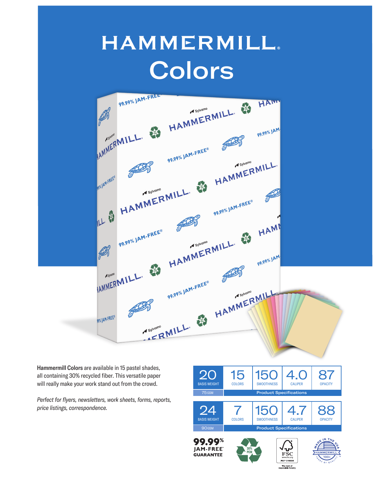## HAMMERMILL。 **Colors**



Hammermill Colors are available in 15 pastel shades, all containing 30% recycled fiber. This versatile paper will really make your work stand out from the crowd.

*Perfect for flyers, newsletters, work sheets, forms, reports, price listings, correspondence.*